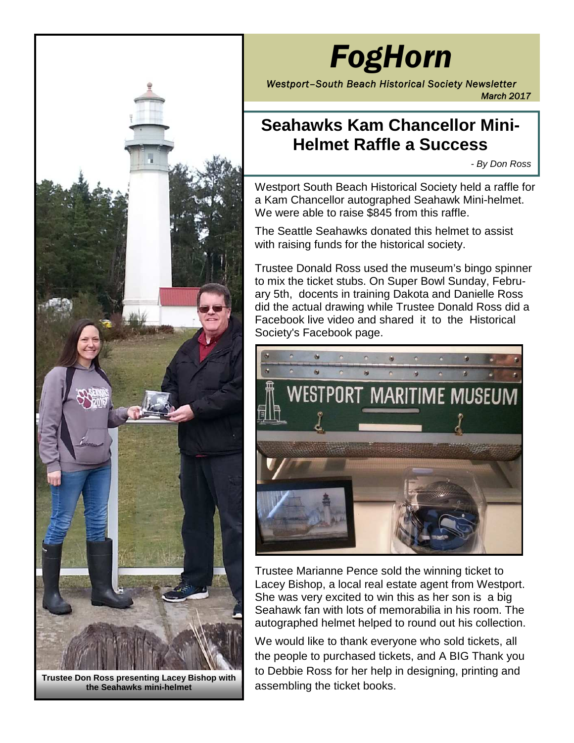

**Trustee Don Ross presenting Lacey Bishop with the Seahawks mini-helmet**

# *FogHorn*

*Westport–South Beach Historical Society Newsletter March 2017*

# **Seahawks Kam Chancellor Mini-Helmet Raffle a Success**

*- By Don Ross*

Westport South Beach Historical Society held a raffle for a Kam Chancellor autographed Seahawk Mini-helmet. We were able to raise \$845 from this raffle.

The Seattle Seahawks donated this helmet to assist with raising funds for the historical society.

Trustee Donald Ross used the museum's bingo spinner to mix the ticket stubs. On Super Bowl Sunday, February 5th, docents in training Dakota and Danielle Ross did the actual drawing while Trustee Donald Ross did a Facebook live video and shared it to the Historical Society's Facebook page.



Trustee Marianne Pence sold the winning ticket to Lacey Bishop, a local real estate agent from Westport. She was very excited to win this as her son is a big Seahawk fan with lots of memorabilia in his room. The autographed helmet helped to round out his collection.

We would like to thank everyone who sold tickets, all the people to purchased tickets, and A BIG Thank you to Debbie Ross for her help in designing, printing and assembling the ticket books.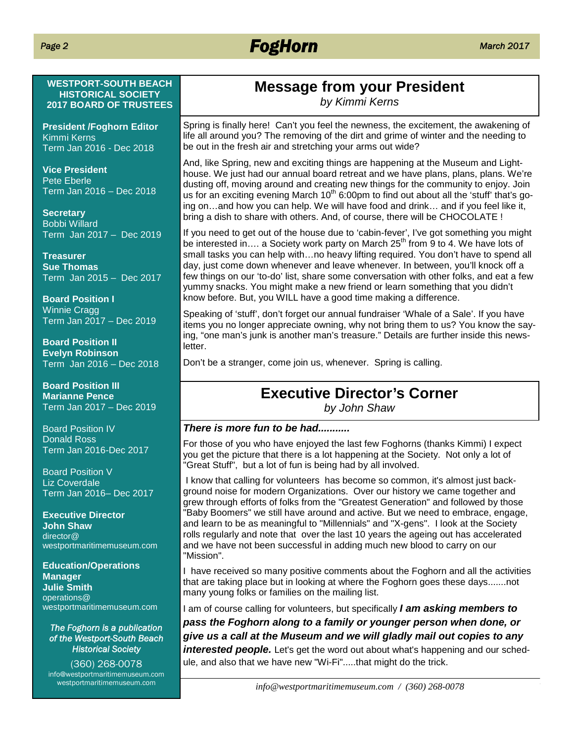# *FogHorn March 2017*

### **WESTPORT-SOUTH BEACH HISTORICAL SOCIETY 2017 BOARD OF TRUSTEES**

**President /Foghorn Editor** Kimmi Kerns Term Jan 2016 - Dec 2018

**Vice President** Pete Eberle Term Jan 2016 – Dec 2018

**Secretary** Bobbi Willard Term Jan 2017 – Dec 2019

**Treasurer Sue Thomas** Term Jan 2015 – Dec 2017

**Board Position I** Winnie Cragg Term Jan 2017 – Dec 2019

**Board Position II Evelyn Robinson** Term Jan 2016 – Dec 2018

**Board Position III Marianne Pence** Term Jan 2017 – Dec 2019

Board Position IV Donald Ross Term Jan 2016-Dec 2017

Board Position V **Liz Coverdale** Term Jan 2016– Dec 2017

**Executive Director John Shaw** director@ westportmaritimemuseum.com

### **Education/Operations Manager Julie Smith** operations@ westportmaritimemuseum.com

### *The Foghorn is a publication of the Westport-South Beach Historical Society*

(360) 268-0078 info@westportmaritimemuseum.com westportmaritimemuseum.com

# **Message from your President**

*by Kimmi Kerns*

Spring is finally here! Can't you feel the newness, the excitement, the awakening of life all around you? The removing of the dirt and grime of winter and the needing to be out in the fresh air and stretching your arms out wide?

And, like Spring, new and exciting things are happening at the Museum and Lighthouse. We just had our annual board retreat and we have plans, plans, plans. We're dusting off, moving around and creating new things for the community to enjoy. Join us for an exciting evening March  $10<sup>th</sup>$  6:00pm to find out about all the 'stuff' that's going on…and how you can help. We will have food and drink… and if you feel like it, bring a dish to share with others. And, of course, there will be CHOCOLATE !

If you need to get out of the house due to 'cabin-fever', I've got something you might be interested in.... a Society work party on March 25<sup>th</sup> from 9 to 4. We have lots of small tasks you can help with…no heavy lifting required. You don't have to spend all day, just come down whenever and leave whenever. In between, you'll knock off a few things on our 'to-do' list, share some conversation with other folks, and eat a few yummy snacks. You might make a new friend or learn something that you didn't know before. But, you WILL have a good time making a difference.

Speaking of 'stuff', don't forget our annual fundraiser 'Whale of a Sale'. If you have items you no longer appreciate owning, why not bring them to us? You know the saying, "one man's junk is another man's treasure." Details are further inside this newsletter.

Don't be a stranger, come join us, whenever. Spring is calling.

# **Executive Director's Corner**

*by John Shaw*

### *There is more fun to be had...........*

For those of you who have enjoyed the last few Foghorns (thanks Kimmi) I expect you get the picture that there is a lot happening at the Society. Not only a lot of "Great Stuff", but a lot of fun is being had by all involved.

I know that calling for volunteers has become so common, it's almost just background noise for modern Organizations. Over our history we came together and grew through efforts of folks from the "Greatest Generation" and followed by those "Baby Boomers" we still have around and active. But we need to embrace, engage, and learn to be as meaningful to "Millennials" and "X-gens". I look at the Society rolls regularly and note that over the last 10 years the ageing out has accelerated and we have not been successful in adding much new blood to carry on our "Mission".

I have received so many positive comments about the Foghorn and all the activities that are taking place but in looking at where the Foghorn goes these days.......not many young folks or families on the mailing list.

I am of course calling for volunteers, but specifically *I am asking members to pass the Foghorn along to a family or younger person when done, or give us a call at the Museum and we will gladly mail out copies to any* **interested people.** Let's get the word out about what's happening and our schedule, and also that we have new "Wi-Fi".....that might do the trick.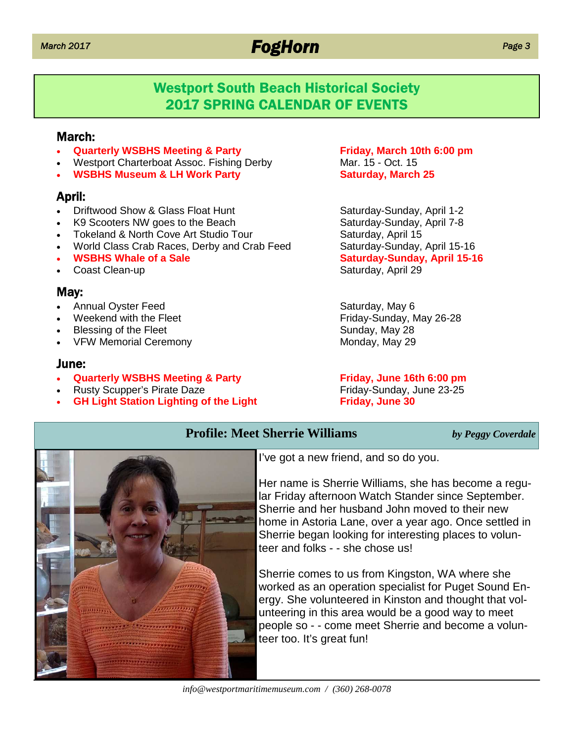# *March 2017 FogHorn*

## Westport South Beach Historical Society 2017 SPRING CALENDAR OF EVENTS

### March:

- **Quarterly WSBHS Meeting & Party Friday, March 10th 6:00 pm**
- Westport Charterboat Assoc. Fishing Derby Mar. 15 Oct. 15
- **WSBHS Museum & LH Work Party <b>Saturday**, March 25

### April:

- Driftwood Show & Glass Float Hunt Saturday-Sunday, April 1-2
- K9 Scooters NW goes to the Beach Saturday-Sunday, April 7-8
- Tokeland & North Cove Art Studio Tour The Saturday, April 15
- World Class Crab Races, Derby and Crab Feed Saturday-Sunday, April 15-16
- 
- Coast Clean-up Saturday, April 29

### May:

- Annual Oyster Feed Saturday, May 6
- 
- Blessing of the Fleet Sunday, May 28
- VFW Memorial Ceremony Monday, May 29

### June:

- **Quarterly WSBHS Meeting & Party Friday, June 16th 6:00 pm**
- Rusty Scupper's Pirate Daze **Friday-Sunday, June 23-25**
- **GH Light Station Lighting of the Light Friday, June 30**

**WSBHS Whale of a Sale Saturday-Sunday, April 15-16** 

Weekend with the Fleet Friday-Sunday, May 26-28



I've got a new friend, and so do you.

**Profile: Meet Sherrie Williams** *by Peggy Coverdale*

Her name is Sherrie Williams, she has become a regular Friday afternoon Watch Stander since September. Sherrie and her husband John moved to their new home in Astoria Lane, over a year ago. Once settled in Sherrie began looking for interesting places to volunteer and folks - - she chose us!

Sherrie comes to us from Kingston, WA where she worked as an operation specialist for Puget Sound Energy. She volunteered in Kinston and thought that volunteering in this area would be a good way to meet people so - - come meet Sherrie and become a volunteer too. It's great fun!

*info@westportmaritimemuseum.com / (360) 268-0078*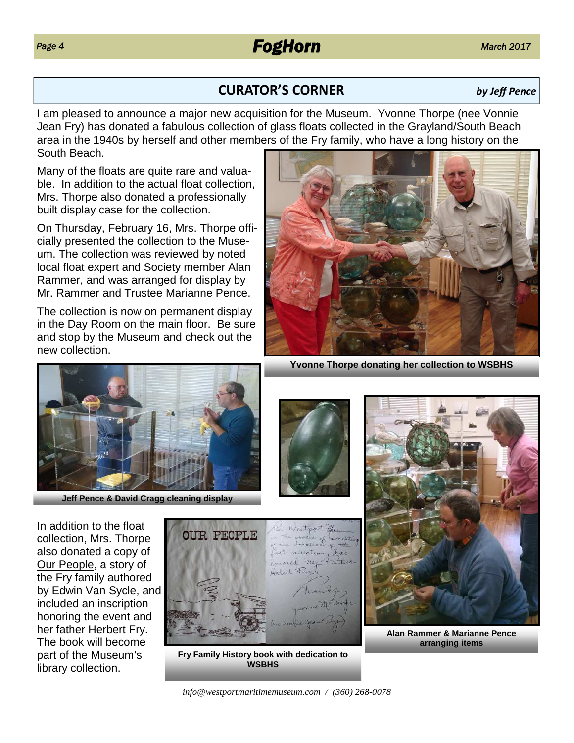# **CURATOR'S CORNER** *by Jeff Pence*

I am pleased to announce a major new acquisition for the Museum. Yvonne Thorpe (nee Vonnie Jean Fry) has donated a fabulous collection of glass floats collected in the Grayland/South Beach area in the 1940s by herself and other members of the Fry family, who have a long history on the South Beach.

Many of the floats are quite rare and valuable. In addition to the actual float collection, Mrs. Thorpe also donated a professionally built display case for the collection.

On Thursday, February 16, Mrs. Thorpe officially presented the collection to the Museum. The collection was reviewed by noted local float expert and Society member Alan Rammer, and was arranged for display by Mr. Rammer and Trustee Marianne Pence.

The collection is now on permanent display in the Day Room on the main floor. Be sure and stop by the Museum and check out the new collection.





**Fry Family History book with dedication to WSBHS**

*info@westportmaritimemuseum.com / (360) 268-0078*



**Alan Rammer & Marianne Pence arranging items**



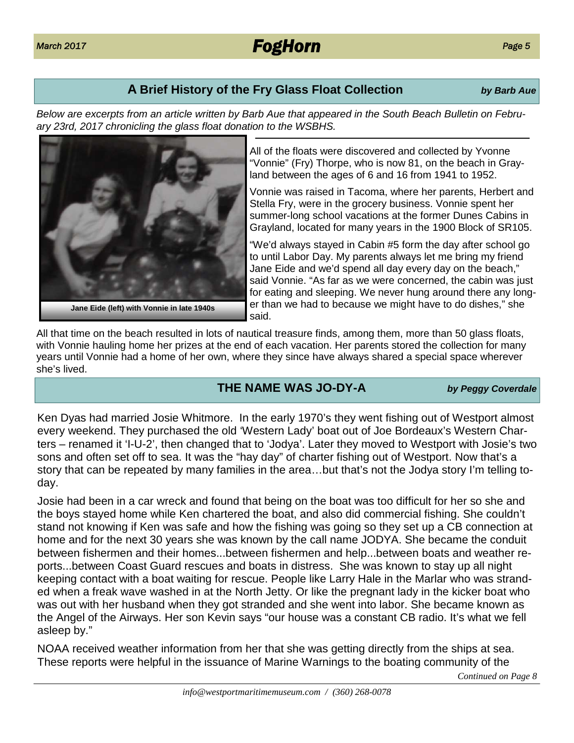### **A Brief History of the Fry Glass Float Collection** *by Barb Aue*

*Below are excerpts from an article written by Barb Aue that appeared in the South Beach Bulletin on February 23rd, 2017 chronicling the glass float donation to the WSBHS.*

> All of the floats were discovered and collected by Yvonne "Vonnie" (Fry) Thorpe, who is now 81, on the beach in Grayland between the ages of 6 and 16 from 1941 to 1952.

Vonnie was raised in Tacoma, where her parents, Herbert and Stella Fry, were in the grocery business. Vonnie spent her summer-long school vacations at the former Dunes Cabins in Grayland, located for many years in the 1900 Block of SR105.

"We'd always stayed in Cabin #5 form the day after school go to until Labor Day. My parents always let me bring my friend Jane Eide and we'd spend all day every day on the beach," said Vonnie. "As far as we were concerned, the cabin was just for eating and sleeping. We never hung around there any longer than we had to because we might have to do dishes," she said.

All that time on the beach resulted in lots of nautical treasure finds, among them, more than 50 glass floats, with Vonnie hauling home her prizes at the end of each vacation. Her parents stored the collection for many years until Vonnie had a home of her own, where they since have always shared a special space wherever she's lived.

### **THE NAME WAS JO-DY-A** *by Peggy Coverdale*

Ken Dyas had married Josie Whitmore. In the early 1970's they went fishing out of Westport almost every weekend. They purchased the old 'Western Lady' boat out of Joe Bordeaux's Western Charters – renamed it 'I-U-2', then changed that to 'Jodya'. Later they moved to Westport with Josie's two sons and often set off to sea. It was the "hay day" of charter fishing out of Westport. Now that's a story that can be repeated by many families in the area…but that's not the Jodya story I'm telling today.

Josie had been in a car wreck and found that being on the boat was too difficult for her so she and the boys stayed home while Ken chartered the boat, and also did commercial fishing. She couldn't stand not knowing if Ken was safe and how the fishing was going so they set up a CB connection at home and for the next 30 years she was known by the call name JODYA. She became the conduit between fishermen and their homes...between fishermen and help...between boats and weather reports...between Coast Guard rescues and boats in distress. She was known to stay up all night keeping contact with a boat waiting for rescue. People like Larry Hale in the Marlar who was stranded when a freak wave washed in at the North Jetty. Or like the pregnant lady in the kicker boat who was out with her husband when they got stranded and she went into labor. She became known as the Angel of the Airways. Her son Kevin says "our house was a constant CB radio. It's what we fell asleep by."

NOAA received weather information from her that she was getting directly from the ships at sea. These reports were helpful in the issuance of Marine Warnings to the boating community of the





*Continued on Page 8*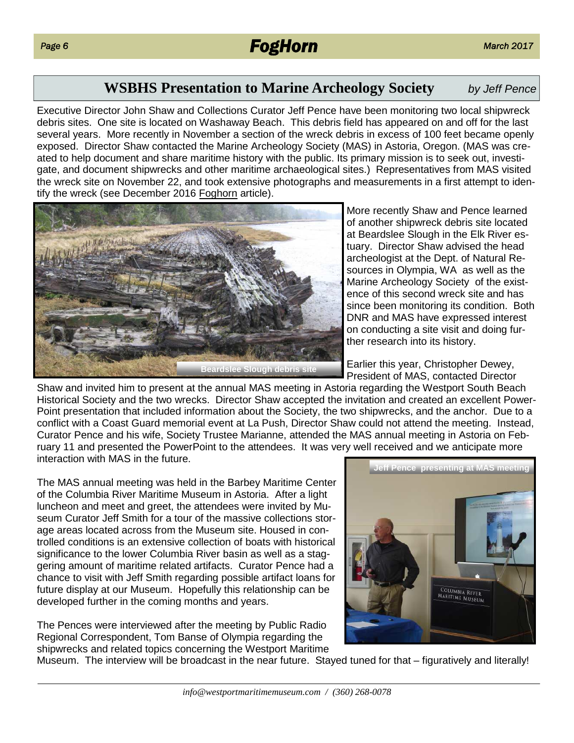### **WSBHS Presentation to Marine Archeology Society** *by Jeff Pence*

Executive Director John Shaw and Collections Curator Jeff Pence have been monitoring two local shipwreck debris sites. One site is located on Washaway Beach. This debris field has appeared on and off for the last several years. More recently in November a section of the wreck debris in excess of 100 feet became openly exposed. Director Shaw contacted the Marine Archeology Society (MAS) in Astoria, Oregon. (MAS was created to help document and share maritime history with the public. Its primary mission is to seek out, investigate, and document shipwrecks and other maritime archaeological sites.) Representatives from MAS visited the wreck site on November 22, and took extensive photographs and measurements in a first attempt to identify the wreck (see December 2016 Foghorn article).



More recently Shaw and Pence learned of another shipwreck debris site located at Beardslee Slough in the Elk River estuary. Director Shaw advised the head archeologist at the Dept. of Natural Resources in Olympia, WA as well as the Marine Archeology Society of the existence of this second wreck site and has since been monitoring its condition. Both DNR and MAS have expressed interest on conducting a site visit and doing further research into its history.

Earlier this year, Christopher Dewey, President of MAS, contacted Director

Shaw and invited him to present at the annual MAS meeting in Astoria regarding the Westport South Beach Historical Society and the two wrecks. Director Shaw accepted the invitation and created an excellent Power-Point presentation that included information about the Society, the two shipwrecks, and the anchor. Due to a conflict with a Coast Guard memorial event at La Push, Director Shaw could not attend the meeting. Instead, Curator Pence and his wife, Society Trustee Marianne, attended the MAS annual meeting in Astoria on February 11 and presented the PowerPoint to the attendees. It was very well received and we anticipate more interaction with MAS in the future.

The MAS annual meeting was held in the Barbey Maritime Center of the Columbia River Maritime Museum in Astoria. After a light luncheon and meet and greet, the attendees were invited by Museum Curator Jeff Smith for a tour of the massive collections storage areas located across from the Museum site. Housed in controlled conditions is an extensive collection of boats with historical significance to the lower Columbia River basin as well as a staggering amount of maritime related artifacts. Curator Pence had a chance to visit with Jeff Smith regarding possible artifact loans for future display at our Museum. Hopefully this relationship can be developed further in the coming months and years.

The Pences were interviewed after the meeting by Public Radio Regional Correspondent, Tom Banse of Olympia regarding the shipwrecks and related topics concerning the Westport Maritime



Museum. The interview will be broadcast in the near future. Stayed tuned for that – figuratively and literally!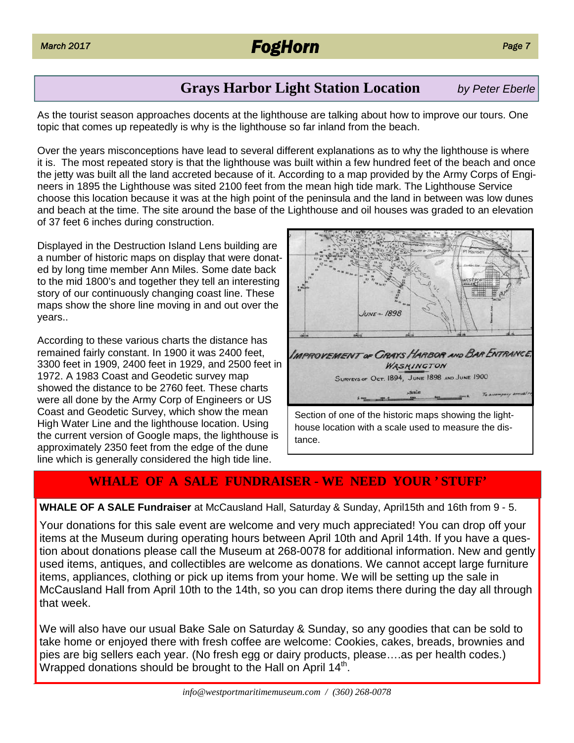# *March 2017 FogHorn*

### **Grays Harbor Light Station Location** *by Peter Eberle*

As the tourist season approaches docents at the lighthouse are talking about how to improve our tours. One topic that comes up repeatedly is why is the lighthouse so far inland from the beach.

Over the years misconceptions have lead to several different explanations as to why the lighthouse is where it is. The most repeated story is that the lighthouse was built within a few hundred feet of the beach and once the jetty was built all the land accreted because of it. According to a map provided by the Army Corps of Engineers in 1895 the Lighthouse was sited 2100 feet from the mean high tide mark. The Lighthouse Service choose this location because it was at the high point of the peninsula and the land in between was low dunes and beach at the time. The site around the base of the Lighthouse and oil houses was graded to an elevation of 37 feet 6 inches during construction.

Displayed in the Destruction Island Lens building are a number of historic maps on display that were donated by long time member Ann Miles. Some date back to the mid 1800's and together they tell an interesting story of our continuously changing coast line. These maps show the shore line moving in and out over the years..

According to these various charts the distance has remained fairly constant. In 1900 it was 2400 feet, 3300 feet in 1909, 2400 feet in 1929, and 2500 feet in 1972. A 1983 Coast and Geodetic survey map showed the distance to be 2760 feet. These charts were all done by the Army Corp of Engineers or US Coast and Geodetic Survey, which show the mean High Water Line and the lighthouse location. Using the current version of Google maps, the lighthouse is approximately 2350 feet from the edge of the dune line which is generally considered the high tide line.



### **WHALE OF A SALE FUNDRAISER - WE NEED YOUR ' STUFF'**

### **WHALE OF A SALE Fundraiser** at McCausland Hall, Saturday & Sunday, April15th and 16th from 9 - 5.

Your donations for this sale event are welcome and very much appreciated! You can drop off your items at the Museum during operating hours between April 10th and April 14th. If you have a question about donations please call the Museum at 268-0078 for additional information. New and gently used items, antiques, and collectibles are welcome as donations. We cannot accept large furniture items, appliances, clothing or pick up items from your home. We will be setting up the sale in McCausland Hall from April 10th to the 14th, so you can drop items there during the day all through that week.

We will also have our usual Bake Sale on Saturday & Sunday, so any goodies that can be sold to take home or enjoyed there with fresh coffee are welcome: Cookies, cakes, breads, brownies and pies are big sellers each year. (No fresh egg or dairy products, please….as per health codes.) Wrapped donations should be brought to the Hall on April 14<sup>th</sup>.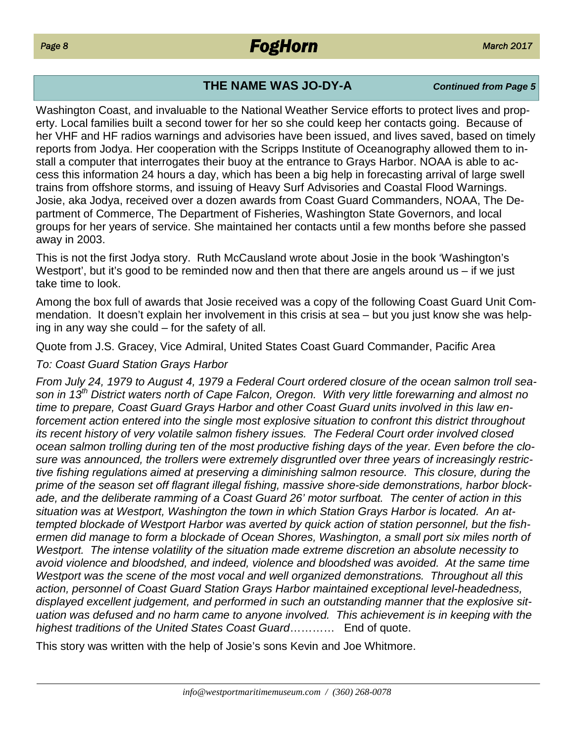# **THE NAME WAS JO-DY-A** *Continued from Page 5*

Washington Coast, and invaluable to the National Weather Service efforts to protect lives and property. Local families built a second tower for her so she could keep her contacts going. Because of her VHF and HF radios warnings and advisories have been issued, and lives saved, based on timely reports from Jodya. Her cooperation with the Scripps Institute of Oceanography allowed them to install a computer that interrogates their buoy at the entrance to Grays Harbor. NOAA is able to access this information 24 hours a day, which has been a big help in forecasting arrival of large swell trains from offshore storms, and issuing of Heavy Surf Advisories and Coastal Flood Warnings. Josie, aka Jodya, received over a dozen awards from Coast Guard Commanders, NOAA, The Department of Commerce, The Department of Fisheries, Washington State Governors, and local groups for her years of service. She maintained her contacts until a few months before she passed away in 2003.

This is not the first Jodya story. Ruth McCausland wrote about Josie in the book 'Washington's Westport', but it's good to be reminded now and then that there are angels around us – if we just take time to look.

Among the box full of awards that Josie received was a copy of the following Coast Guard Unit Commendation. It doesn't explain her involvement in this crisis at sea – but you just know she was helping in any way she could – for the safety of all.

Quote from J.S. Gracey, Vice Admiral, United States Coast Guard Commander, Pacific Area

### *To: Coast Guard Station Grays Harbor*

*From July 24, 1979 to August 4, 1979 a Federal Court ordered closure of the ocean salmon troll season in 13th District waters north of Cape Falcon, Oregon. With very little forewarning and almost no time to prepare, Coast Guard Grays Harbor and other Coast Guard units involved in this law enforcement action entered into the single most explosive situation to confront this district throughout its recent history of very volatile salmon fishery issues. The Federal Court order involved closed ocean salmon trolling during ten of the most productive fishing days of the year. Even before the closure was announced, the trollers were extremely disgruntled over three years of increasingly restrictive fishing regulations aimed at preserving a diminishing salmon resource. This closure, during the prime of the season set off flagrant illegal fishing, massive shore-side demonstrations, harbor blockade, and the deliberate ramming of a Coast Guard 26' motor surfboat. The center of action in this situation was at Westport, Washington the town in which Station Grays Harbor is located. An attempted blockade of Westport Harbor was averted by quick action of station personnel, but the fishermen did manage to form a blockade of Ocean Shores, Washington, a small port six miles north of Westport. The intense volatility of the situation made extreme discretion an absolute necessity to avoid violence and bloodshed, and indeed, violence and bloodshed was avoided. At the same time Westport was the scene of the most vocal and well organized demonstrations. Throughout all this action, personnel of Coast Guard Station Grays Harbor maintained exceptional level-headedness, displayed excellent judgement, and performed in such an outstanding manner that the explosive situation was defused and no harm came to anyone involved. This achievement is in keeping with the highest traditions of the United States Coast Guard*………… End of quote.

This story was written with the help of Josie's sons Kevin and Joe Whitmore.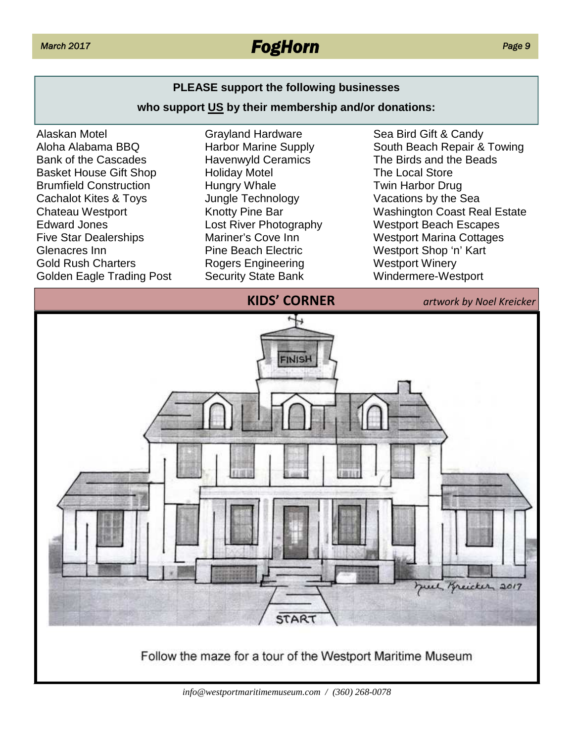# *March 2017 FogHorn*

### **PLEASE support the following businesses**

### **who support US by their membership and/or donations:**



Grayland Hardware Harbor Marine Supply Havenwyld Ceramics Holiday Motel Hungry Whale Jungle Technology Knotty Pine Bar Lost River Photography Mariner's Cove Inn Pine Beach Electric Rogers Engineering Security State Bank

Sea Bird Gift & Candy South Beach Repair & Towing The Birds and the Beads The Local Store Twin Harbor Drug Vacations by the Sea Washington Coast Real Estate Westport Beach Escapes Westport Marina Cottages Westport Shop 'n' Kart Westport Winery Windermere-Westport



Follow the maze for a tour of the Westport Maritime Museum

*Page 9*